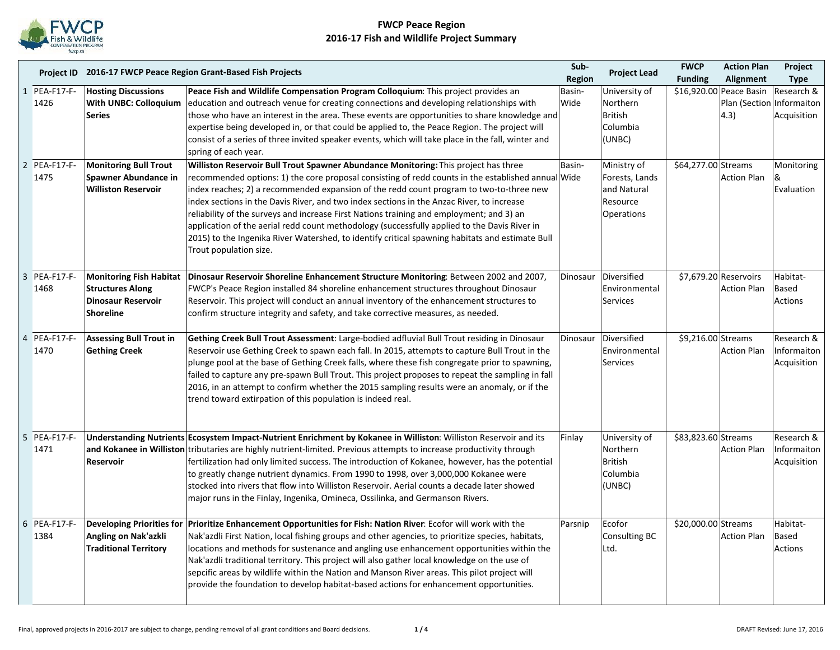

|                |                   | Project ID 2016-17 FWCP Peace Region Grant-Based Fish Projects | Sub-                                                                                                                                                                                     | <b>Project Lead</b> | <b>FWCP</b>     | <b>Action Plan</b>    | Project                   |             |
|----------------|-------------------|----------------------------------------------------------------|------------------------------------------------------------------------------------------------------------------------------------------------------------------------------------------|---------------------|-----------------|-----------------------|---------------------------|-------------|
|                |                   |                                                                |                                                                                                                                                                                          | Region              |                 | <b>Funding</b>        | Alignment                 | <b>Type</b> |
|                | <b>PEA-F17-F-</b> | <b>Hosting Discussions</b>                                     | Peace Fish and Wildlife Compensation Program Colloquium: This project provides an                                                                                                        | Basin-              | University of   |                       | \$16,920.00 Peace Basin   | Research &  |
|                | 1426              | With UNBC: Colloquium                                          | education and outreach venue for creating connections and developing relationships with                                                                                                  | Wide                | Northern        |                       | Plan (Section Informaiton |             |
|                |                   | <b>Series</b>                                                  | those who have an interest in the area. These events are opportunities to share knowledge and                                                                                            |                     | <b>British</b>  |                       | 4.3)                      | Acquisition |
|                |                   |                                                                | expertise being developed in, or that could be applied to, the Peace Region. The project will                                                                                            |                     | Columbia        |                       |                           |             |
|                |                   |                                                                | consist of a series of three invited speaker events, which will take place in the fall, winter and                                                                                       |                     | (UNBC)          |                       |                           |             |
|                |                   |                                                                | spring of each year.                                                                                                                                                                     |                     |                 |                       |                           |             |
|                | 2 PEA-F17-F-      | <b>Monitoring Bull Trout</b>                                   | Williston Reservoir Bull Trout Spawner Abundance Monitoring: This project has three                                                                                                      | Basin-              | Ministry of     | \$64,277.00 Streams   |                           | Monitoring  |
|                | 1475              | Spawner Abundance in                                           | recommended options: 1) the core proposal consisting of redd counts in the established annual Wide                                                                                       |                     | Forests, Lands  |                       | <b>Action Plan</b>        | ା&          |
|                |                   | <b>Williston Reservoir</b>                                     | index reaches; 2) a recommended expansion of the redd count program to two-to-three new                                                                                                  |                     | and Natural     |                       |                           | Evaluation  |
|                |                   |                                                                | index sections in the Davis River, and two index sections in the Anzac River, to increase                                                                                                |                     | Resource        |                       |                           |             |
|                |                   |                                                                | reliability of the surveys and increase First Nations training and employment; and 3) an<br>application of the aerial redd count methodology (successfully applied to the Davis River in |                     | Operations      |                       |                           |             |
|                |                   |                                                                | 2015) to the Ingenika River Watershed, to identify critical spawning habitats and estimate Bull                                                                                          |                     |                 |                       |                           |             |
|                |                   |                                                                | Trout population size.                                                                                                                                                                   |                     |                 |                       |                           |             |
|                |                   |                                                                |                                                                                                                                                                                          |                     |                 |                       |                           |             |
| 3              | <b>PEA-F17-F-</b> |                                                                | Monitoring Fish Habitat   Dinosaur Reservoir Shoreline Enhancement Structure Monitoring: Between 2002 and 2007,                                                                          | Dinosaur            | Diversified     | \$7,679.20 Reservoirs |                           | Habitat-    |
|                | 1468              | <b>Structures Along</b>                                        | FWCP's Peace Region installed 84 shoreline enhancement structures throughout Dinosaur                                                                                                    |                     | Environmental   |                       | <b>Action Plan</b>        | Based       |
|                |                   | <b>Dinosaur Reservoir</b>                                      | Reservoir. This project will conduct an annual inventory of the enhancement structures to                                                                                                |                     | <b>Services</b> |                       |                           | Actions     |
|                |                   | <b>Shoreline</b>                                               | confirm structure integrity and safety, and take corrective measures, as needed.                                                                                                         |                     |                 |                       |                           |             |
|                |                   |                                                                |                                                                                                                                                                                          |                     |                 |                       |                           |             |
| $\overline{4}$ | PEA-F17-F-        | <b>Assessing Bull Trout in</b>                                 | Gething Creek Bull Trout Assessment: Large-bodied adfluvial Bull Trout residing in Dinosaur                                                                                              | Dinosaur            | Diversified     | \$9,216.00 Streams    |                           | Research &  |
|                | 1470              | <b>Gething Creek</b>                                           | Reservoir use Gething Creek to spawn each fall. In 2015, attempts to capture Bull Trout in the                                                                                           |                     | Environmental   |                       | <b>Action Plan</b>        | Informaiton |
|                |                   |                                                                | plunge pool at the base of Gething Creek falls, where these fish congregate prior to spawning,                                                                                           |                     | <b>Services</b> |                       |                           | Acquisition |
|                |                   |                                                                | failed to capture any pre-spawn Bull Trout. This project proposes to repeat the sampling in fall                                                                                         |                     |                 |                       |                           |             |
|                |                   |                                                                | 2016, in an attempt to confirm whether the 2015 sampling results were an anomaly, or if the                                                                                              |                     |                 |                       |                           |             |
|                |                   |                                                                | trend toward extirpation of this population is indeed real.                                                                                                                              |                     |                 |                       |                           |             |
|                |                   |                                                                |                                                                                                                                                                                          |                     |                 |                       |                           |             |
| 5              | <b>PEA-F17-F-</b> |                                                                | Understanding Nutrients Ecosystem Impact-Nutrient Enrichment by Kokanee in Williston: Williston Reservoir and its                                                                        | Finlay              | University of   | \$83,823.60 Streams   |                           | Research &  |
|                | 1471              |                                                                | and Kokanee in Williston tributaries are highly nutrient-limited. Previous attempts to increase productivity through                                                                     |                     | Northern        |                       | <b>Action Plan</b>        | Informaiton |
|                |                   | Reservoir                                                      | fertilization had only limited success. The introduction of Kokanee, however, has the potential                                                                                          |                     | <b>British</b>  |                       |                           | Acquisition |
|                |                   |                                                                | to greatly change nutrient dynamics. From 1990 to 1998, over 3,000,000 Kokanee were                                                                                                      |                     | Columbia        |                       |                           |             |
|                |                   |                                                                | stocked into rivers that flow into Williston Reservoir. Aerial counts a decade later showed                                                                                              |                     | (UNBC)          |                       |                           |             |
|                |                   |                                                                | major runs in the Finlay, Ingenika, Omineca, Ossilinka, and Germanson Rivers.                                                                                                            |                     |                 |                       |                           |             |
|                |                   |                                                                |                                                                                                                                                                                          |                     |                 |                       |                           |             |
| 6              | <b>PEA-F17-F-</b> |                                                                | Developing Priorities for Prioritize Enhancement Opportunities for Fish: Nation River: Ecofor will work with the                                                                         | Parsnip             | Ecofor          | \$20,000.00 Streams   |                           | Habitat-    |
|                | 1384              | Angling on Nak'azkli                                           | Nak'azdli First Nation, local fishing groups and other agencies, to prioritize species, habitats,                                                                                        |                     | Consulting BC   |                       | <b>Action Plan</b>        | Based       |
|                |                   | <b>Traditional Territory</b>                                   | locations and methods for sustenance and angling use enhancement opportunities within the                                                                                                |                     | Ltd.            |                       |                           | Actions     |
|                |                   |                                                                | Nak'azdli traditional territory. This project will also gather local knowledge on the use of                                                                                             |                     |                 |                       |                           |             |
|                |                   |                                                                | sepcific areas by wildlife within the Nation and Manson River areas. This pilot project will                                                                                             |                     |                 |                       |                           |             |
|                |                   |                                                                | provide the foundation to develop habitat-based actions for enhancement opportunities.                                                                                                   |                     |                 |                       |                           |             |
|                |                   |                                                                |                                                                                                                                                                                          |                     |                 |                       |                           |             |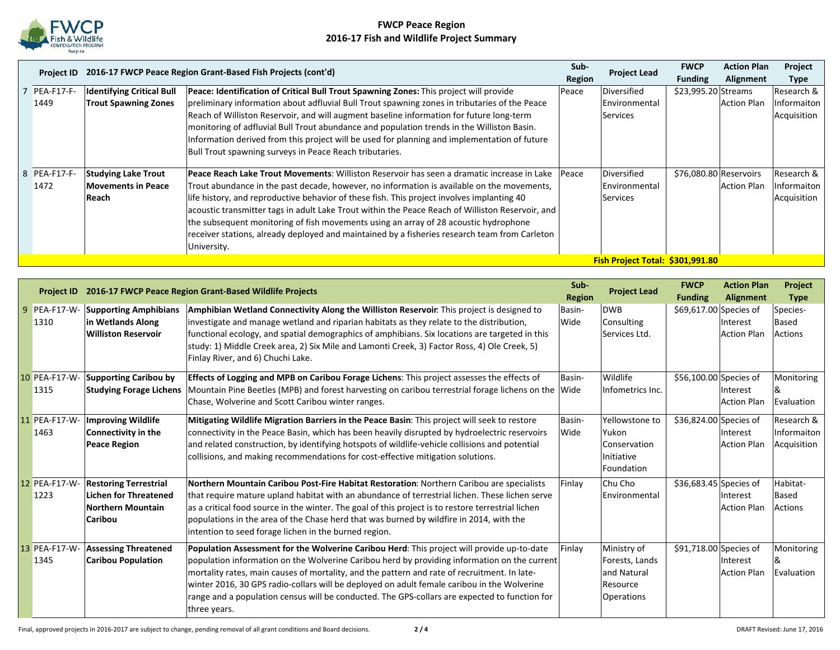

|                   |                                  | Project ID 2016-17 FWCP Peace Region Grant-Based Fish Projects (cont'd)                          | Sub-   | <b>Project Lead</b> | <b>FWCP</b>            | <b>Action Plan</b> | Project     |
|-------------------|----------------------------------|--------------------------------------------------------------------------------------------------|--------|---------------------|------------------------|--------------------|-------------|
|                   |                                  |                                                                                                  | Region |                     | <b>Funding</b>         | Alignment          | Type        |
| <b>PEA-F17-F-</b> | <b>Identifying Critical Bull</b> | Peace: Identification of Critical Bull Trout Spawning Zones: This project will provide           | Peace  | Diversified         | \$23,995.20 Streams    |                    | Research &  |
| 1449              | <b>Trout Spawning Zones</b>      | preliminary information about adfluvial Bull Trout spawning zones in tributaries of the Peace    |        | Environmental       |                        | <b>Action Plan</b> | Informaiton |
|                   |                                  | Reach of Williston Reservoir, and will augment baseline information for future long-term         |        | Services            |                        |                    | Acquisition |
|                   |                                  | monitoring of adfluvial Bull Trout abundance and population trends in the Williston Basin.       |        |                     |                        |                    |             |
|                   |                                  | Information derived from this project will be used for planning and implementation of future     |        |                     |                        |                    |             |
|                   |                                  | Bull Trout spawning surveys in Peace Reach tributaries.                                          |        |                     |                        |                    |             |
|                   |                                  |                                                                                                  |        |                     |                        |                    |             |
| 8 PEA-F17-F-      | <b>Studying Lake Trout</b>       | Peace Reach Lake Trout Movements: Williston Reservoir has seen a dramatic increase in Lake       | Peace  | Diversified         | \$76,080.80 Reservoirs |                    | Research &  |
| 1472              | <b>Movements in Peace</b>        | Trout abundance in the past decade, however, no information is available on the movements,       |        | Environmental       |                        | <b>Action Plan</b> | Informaiton |
|                   | Reach                            | life history, and reproductive behavior of these fish. This project involves implanting 40       |        | <b>Services</b>     |                        |                    | Acquisition |
|                   |                                  | acoustic transmitter tags in adult Lake Trout within the Peace Reach of Williston Reservoir, and |        |                     |                        |                    |             |
|                   |                                  | the subsequent monitoring of fish movements using an array of 28 acoustic hydrophone             |        |                     |                        |                    |             |
|                   |                                  | receiver stations, already deployed and maintained by a fisheries research team from Carleton    |        |                     |                        |                    |             |
|                   |                                  | University.                                                                                      |        |                     |                        |                    |             |
|                   |                                  | Fish Project Total: \$301,991.80                                                                 |        |                     |                        |                    |             |

|   | <b>Project ID</b>     |                                                                                                     | 2016-17 FWCP Peace Region Grant-Based Wildlife Projects                                                                                                                                                                                                                                                                                                                                                                                                                                                    | Sub-<br><b>Region</b> | <b>Project Lead</b>                                                    | <b>FWCP</b><br><b>Funding</b> | <b>Action Plan</b><br><b>Alignment</b> | Project<br><b>Type</b>                   |
|---|-----------------------|-----------------------------------------------------------------------------------------------------|------------------------------------------------------------------------------------------------------------------------------------------------------------------------------------------------------------------------------------------------------------------------------------------------------------------------------------------------------------------------------------------------------------------------------------------------------------------------------------------------------------|-----------------------|------------------------------------------------------------------------|-------------------------------|----------------------------------------|------------------------------------------|
| 9 | PEA-F17-W-<br>1310    | <b>Supporting Amphibians</b><br>in Wetlands Along<br><b>Williston Reservoir</b>                     | Amphibian Wetland Connectivity Along the Williston Reservoir. This project is designed to<br>investigate and manage wetland and riparian habitats as they relate to the distribution,<br>functional ecology, and spatial demographics of amphibians. Six locations are targeted in this<br>study: 1) Middle Creek area, 2) Six Mile and Lamonti Creek, 3) Factor Ross, 4) Ole Creek, 5)<br>Finlay River, and 6) Chuchi Lake.                                                                               | Basin-<br>Wide        | <b>DWB</b><br>Consulting<br>Services Ltd.                              | \$69,617.00 Species of        | Interest<br><b>Action Plan</b>         | Species-<br>Based<br>Actions             |
|   | 10 PEA-F17-W-<br>1315 | <b>Supporting Caribou by</b>                                                                        | Effects of Logging and MPB on Caribou Forage Lichens: This project assesses the effects of<br>Studying Forage Lichens   Mountain Pine Beetles (MPB) and forest harvesting on caribou terrestrial forage lichens on the   Wide<br>Chase, Wolverine and Scott Caribou winter ranges.                                                                                                                                                                                                                         | Basin-                | Wildlife<br>Infometrics Inc.                                           | \$56,100.00 Species of        | Interest<br><b>Action Plan</b>         | Monitoring<br>Evaluation                 |
|   | 11 PEA-F17-W-<br>1463 | <b>Improving Wildlife</b><br>Connectivity in the<br><b>Peace Region</b>                             | Mitigating Wildlife Migration Barriers in the Peace Basin: This project will seek to restore<br>connectivity in the Peace Basin, which has been heavily disrupted by hydroelectric reservoirs<br>and related construction, by identifying hotspots of wildlife-vehicle collisions and potential<br>collisions, and making recommendations for cost-effective mitigation solutions.                                                                                                                         | Basin-<br>Wide        | Yellowstone to<br>Yukon<br>Conservation<br>Initiative<br>Foundation    | \$36,824.00 Species of        | Interest<br><b>Action Plan</b>         | Research &<br>Informaiton<br>Acquisition |
|   | 12 PEA-F17-W-<br>1223 | <b>Restoring Terrestrial</b><br><b>Lichen for Threatened</b><br><b>Northern Mountain</b><br>Caribou | Northern Mountain Caribou Post-Fire Habitat Restoration: Northern Caribou are specialists<br>that require mature upland habitat with an abundance of terrestrial lichen. These lichen serve<br>as a critical food source in the winter. The goal of this project is to restore terrestrial lichen<br>populations in the area of the Chase herd that was burned by wildfire in 2014, with the<br>intention to seed forage lichen in the burned region.                                                      | Finlay                | Chu Cho<br>Environmental                                               | \$36,683.45 Species of        | Interest<br><b>Action Plan</b>         | Habitat-<br>Based<br>Actions             |
|   | 13 PEA-F17-W-<br>1345 | <b>Assessing Threatened</b><br><b>Caribou Population</b>                                            | Population Assessment for the Wolverine Caribou Herd: This project will provide up-to-date<br>population information on the Wolverine Caribou herd by providing information on the current<br>mortality rates, main causes of mortality, and the pattern and rate of recruitment. In late-<br>winter 2016, 30 GPS radio-collars will be deployed on adult female caribou in the Wolverine<br>range and a population census will be conducted. The GPS-collars are expected to function for<br>three years. | Finlay                | Ministry of<br>Forests, Lands<br>and Natural<br>Resource<br>Operations | \$91,718.00 Species of        | Interest<br><b>Action Plan</b>         | Monitoring<br>Evaluation                 |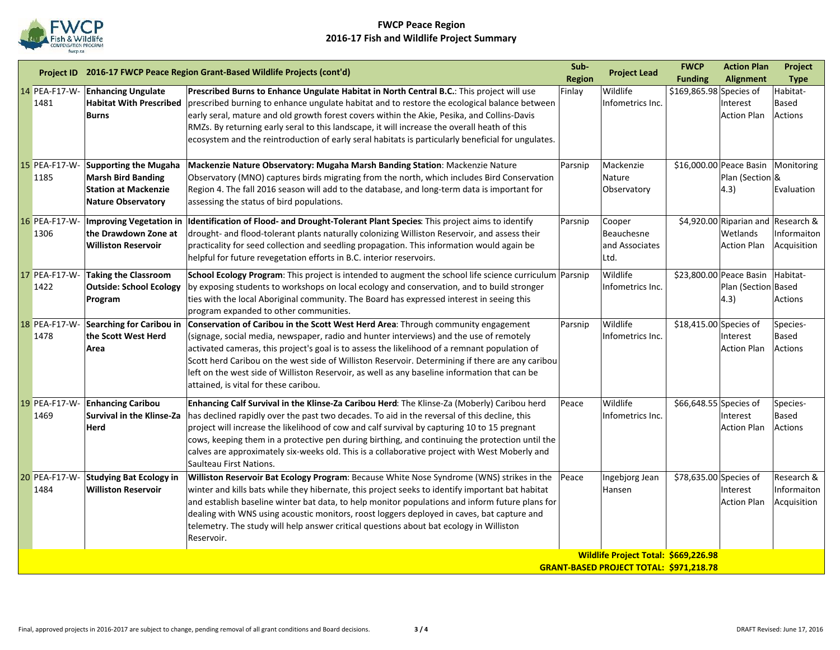

|    |                       |                                                                                                                       | Project ID 2016-17 FWCP Peace Region Grant-Based Wildlife Projects (cont'd)                                                                                                                                                                                                                                                                                                                                                                                                                                                 | Sub-<br><b>Region</b> | <b>Project Lead</b>                                                                    | <b>FWCP</b><br><b>Funding</b> | <b>Action Plan</b><br>Alignment                                      | Project<br><b>Type</b>                   |
|----|-----------------------|-----------------------------------------------------------------------------------------------------------------------|-----------------------------------------------------------------------------------------------------------------------------------------------------------------------------------------------------------------------------------------------------------------------------------------------------------------------------------------------------------------------------------------------------------------------------------------------------------------------------------------------------------------------------|-----------------------|----------------------------------------------------------------------------------------|-------------------------------|----------------------------------------------------------------------|------------------------------------------|
| 14 | PEA-F17-W-<br>1481    | <b>Enhancing Ungulate</b><br><b>Habitat With Prescribed</b><br><b>Burns</b>                                           | Prescribed Burns to Enhance Ungulate Habitat in North Central B.C.: This project will use<br>prescribed burning to enhance ungulate habitat and to restore the ecological balance between<br>early seral, mature and old growth forest covers within the Akie, Pesika, and Collins-Davis<br>RMZs. By returning early seral to this landscape, it will increase the overall heath of this<br>ecosystem and the reintroduction of early seral habitats is particularly beneficial for ungulates.                              | Finlay                | Wildlife<br>Infometrics Inc.                                                           | \$169,865.98 Species of       | Interest<br><b>Action Plan</b>                                       | Habitat-<br>Based<br><b>Actions</b>      |
|    | 15 PEA-F17-W-<br>1185 | <b>Supporting the Mugaha</b><br><b>Marsh Bird Banding</b><br><b>Station at Mackenzie</b><br><b>Nature Observatory</b> | Mackenzie Nature Observatory: Mugaha Marsh Banding Station: Mackenzie Nature<br>Observatory (MNO) captures birds migrating from the north, which includes Bird Conservation<br>Region 4. The fall 2016 season will add to the database, and long-term data is important for<br>assessing the status of bird populations.                                                                                                                                                                                                    | Parsnip               | Mackenzie<br>Nature<br>Observatory                                                     |                               | \$16,000.00 Peace Basin<br>Plan (Section &<br>$ 4.3\rangle$          | Monitoring<br>Evaluation                 |
|    | 16 PEA-F17-W-<br>1306 | <b>Improving Vegetation in</b><br>the Drawdown Zone at<br><b>Williston Reservoir</b>                                  | Identification of Flood- and Drought-Tolerant Plant Species: This project aims to identify<br>drought- and flood-tolerant plants naturally colonizing Williston Reservoir, and assess their<br>practicality for seed collection and seedling propagation. This information would again be<br>helpful for future revegetation efforts in B.C. interior reservoirs.                                                                                                                                                           | Parsnip               | Cooper<br>Beauchesne<br>and Associates<br>Ltd.                                         |                               | \$4,920.00 Riparian and Research &<br>Wetlands<br><b>Action Plan</b> | Informaiton<br>Acquisition               |
|    | 17 PEA-F17-W-<br>1422 | <b>Taking the Classroom</b><br><b>Outside: School Ecology</b><br>Program                                              | School Ecology Program: This project is intended to augment the school life science curriculum Parsnip<br>by exposing students to workshops on local ecology and conservation, and to build stronger<br>ties with the local Aboriginal community. The Board has expressed interest in seeing this<br>program expanded to other communities.                                                                                                                                                                                 |                       | Wildlife<br>Infometrics Inc.                                                           |                               | \$23,800.00 Peace Basin<br>Plan (Section Based<br>$ 4.3\rangle$      | Habitat-<br>Actions                      |
|    | 18 PEA-F17-W-<br>1478 | Searching for Caribou in<br>the Scott West Herd<br>Area                                                               | Conservation of Caribou in the Scott West Herd Area: Through community engagement<br>(signage, social media, newspaper, radio and hunter interviews) and the use of remotely<br>activated cameras, this project's goal is to assess the likelihood of a remnant population of<br>Scott herd Caribou on the west side of Williston Reservoir. Determining if there are any caribou<br>left on the west side of Williston Reservoir, as well as any baseline information that can be<br>attained, is vital for these caribou. | Parsnip               | Wildlife<br>Infometrics Inc.                                                           | $$18,415.00$ Species of       | Interest<br><b>Action Plan</b>                                       | Species-<br>Based<br><b>Actions</b>      |
|    | 19 PEA-F17-W-<br>1469 | <b>Enhancing Caribou</b><br><b>Survival in the Klinse-Za</b><br><b>Herd</b>                                           | Enhancing Calf Survival in the Klinse-Za Caribou Herd: The Klinse-Za (Moberly) Caribou herd<br>has declined rapidly over the past two decades. To aid in the reversal of this decline, this<br>project will increase the likelihood of cow and calf survival by capturing 10 to 15 pregnant<br>cows, keeping them in a protective pen during birthing, and continuing the protection until the<br>calves are approximately six-weeks old. This is a collaborative project with West Moberly and<br>Saulteau First Nations.  | Peace                 | Wildlife<br>Infometrics Inc.                                                           | \$66,648.55 Species of        | Interest<br><b>Action Plan</b>                                       | Species-<br>Based<br><b>Actions</b>      |
|    | 20 PEA-F17-W-<br>1484 | <b>Studying Bat Ecology in</b><br><b>Williston Reservoir</b>                                                          | Williston Reservoir Bat Ecology Program: Because White Nose Syndrome (WNS) strikes in the<br>winter and kills bats while they hibernate, this project seeks to identify important bat habitat<br>and establish baseline winter bat data, to help monitor populations and inform future plans for<br>dealing with WNS using acoustic monitors, roost loggers deployed in caves, bat capture and<br>telemetry. The study will help answer critical questions about bat ecology in Williston<br>Reservoir.                     | Peace                 | Ingebjorg Jean<br>Hansen                                                               | \$78,635.00 Species of        | Interest<br><b>Action Plan</b>                                       | Research &<br>Informaiton<br>Acquisition |
|    |                       |                                                                                                                       |                                                                                                                                                                                                                                                                                                                                                                                                                                                                                                                             |                       | Wildlife Project Total: \$669,226.98<br><b>GRANT-BASED PROJECT TOTAL: \$971,218.78</b> |                               |                                                                      |                                          |